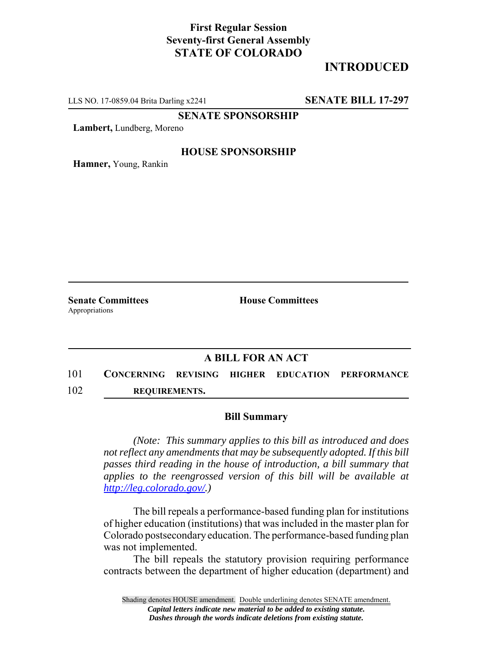## **First Regular Session Seventy-first General Assembly STATE OF COLORADO**

# **INTRODUCED**

LLS NO. 17-0859.04 Brita Darling x2241 **SENATE BILL 17-297**

**SENATE SPONSORSHIP**

**Lambert,** Lundberg, Moreno

### **HOUSE SPONSORSHIP**

**Hamner,** Young, Rankin

Appropriations

**Senate Committees House Committees** 

### **A BILL FOR AN ACT**

101 **CONCERNING REVISING HIGHER EDUCATION PERFORMANCE** 102 **REQUIREMENTS.**

#### **Bill Summary**

*(Note: This summary applies to this bill as introduced and does not reflect any amendments that may be subsequently adopted. If this bill passes third reading in the house of introduction, a bill summary that applies to the reengrossed version of this bill will be available at http://leg.colorado.gov/.)*

The bill repeals a performance-based funding plan for institutions of higher education (institutions) that was included in the master plan for Colorado postsecondary education. The performance-based funding plan was not implemented.

The bill repeals the statutory provision requiring performance contracts between the department of higher education (department) and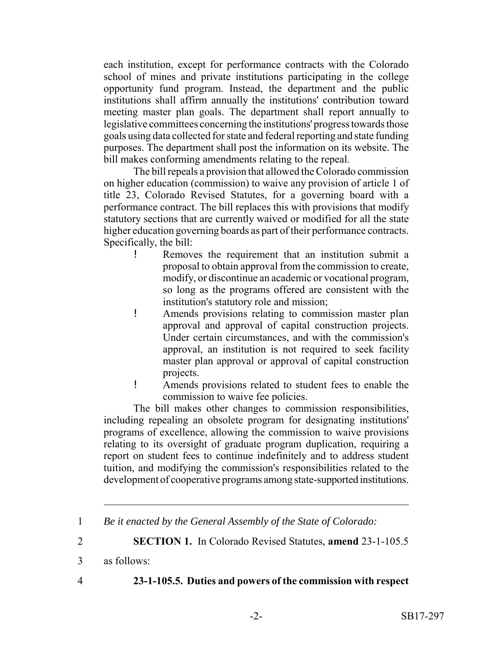each institution, except for performance contracts with the Colorado school of mines and private institutions participating in the college opportunity fund program. Instead, the department and the public institutions shall affirm annually the institutions' contribution toward meeting master plan goals. The department shall report annually to legislative committees concerning the institutions' progress towards those goals using data collected for state and federal reporting and state funding purposes. The department shall post the information on its website. The bill makes conforming amendments relating to the repeal.

The bill repeals a provision that allowed the Colorado commission on higher education (commission) to waive any provision of article 1 of title 23, Colorado Revised Statutes, for a governing board with a performance contract. The bill replaces this with provisions that modify statutory sections that are currently waived or modified for all the state higher education governing boards as part of their performance contracts. Specifically, the bill:

- ! Removes the requirement that an institution submit a proposal to obtain approval from the commission to create, modify, or discontinue an academic or vocational program, so long as the programs offered are consistent with the institution's statutory role and mission;
- ! Amends provisions relating to commission master plan approval and approval of capital construction projects. Under certain circumstances, and with the commission's approval, an institution is not required to seek facility master plan approval or approval of capital construction projects.
- ! Amends provisions related to student fees to enable the commission to waive fee policies.

The bill makes other changes to commission responsibilities, including repealing an obsolete program for designating institutions' programs of excellence, allowing the commission to waive provisions relating to its oversight of graduate program duplication, requiring a report on student fees to continue indefinitely and to address student tuition, and modifying the commission's responsibilities related to the development of cooperative programs among state-supported institutions.

2 **SECTION 1.** In Colorado Revised Statutes, **amend** 23-1-105.5

- 
- 4 **23-1-105.5. Duties and powers of the commission with respect**

<sup>1</sup> *Be it enacted by the General Assembly of the State of Colorado:*

<sup>3</sup> as follows: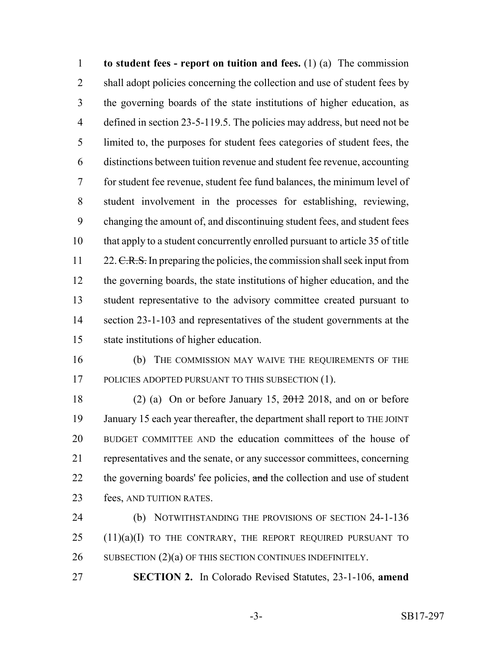**to student fees - report on tuition and fees.** (1) (a) The commission 2 shall adopt policies concerning the collection and use of student fees by the governing boards of the state institutions of higher education, as defined in section 23-5-119.5. The policies may address, but need not be limited to, the purposes for student fees categories of student fees, the distinctions between tuition revenue and student fee revenue, accounting for student fee revenue, student fee fund balances, the minimum level of student involvement in the processes for establishing, reviewing, changing the amount of, and discontinuing student fees, and student fees that apply to a student concurrently enrolled pursuant to article 35 of title 11 22. C.R.S. In preparing the policies, the commission shall seek input from the governing boards, the state institutions of higher education, and the student representative to the advisory committee created pursuant to section 23-1-103 and representatives of the student governments at the state institutions of higher education.

 (b) THE COMMISSION MAY WAIVE THE REQUIREMENTS OF THE 17 POLICIES ADOPTED PURSUANT TO THIS SUBSECTION (1).

18 (2) (a) On or before January 15,  $\frac{2012}{2018}$ , and on or before January 15 each year thereafter, the department shall report to THE JOINT BUDGET COMMITTEE AND the education committees of the house of representatives and the senate, or any successor committees, concerning 22 the governing boards' fee policies, and the collection and use of student fees, AND TUITION RATES.

 (b) NOTWITHSTANDING THE PROVISIONS OF SECTION 24-1-136 (11)(a)(I) TO THE CONTRARY, THE REPORT REQUIRED PURSUANT TO 26 SUBSECTION (2)(a) OF THIS SECTION CONTINUES INDEFINITELY.

**SECTION 2.** In Colorado Revised Statutes, 23-1-106, **amend**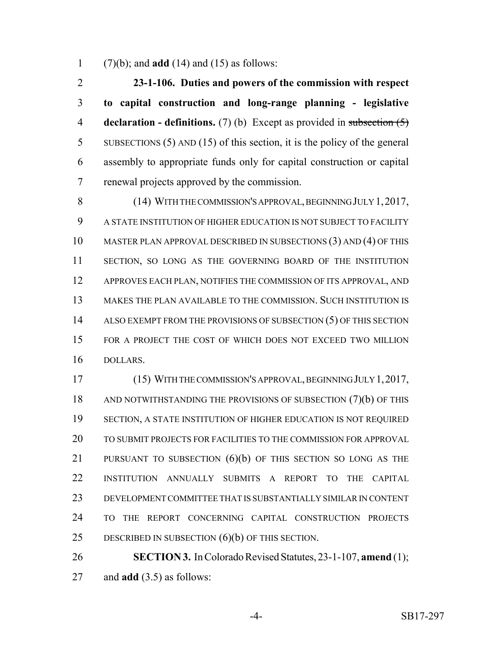(7)(b); and **add** (14) and (15) as follows:

 **23-1-106. Duties and powers of the commission with respect to capital construction and long-range planning - legislative declaration - definitions.** (7) (b) Except as provided in subsection (5) SUBSECTIONS (5) AND (15) of this section, it is the policy of the general assembly to appropriate funds only for capital construction or capital renewal projects approved by the commission.

8 (14) WITH THE COMMISSION'S APPROVAL, BEGINNING JULY 1, 2017, A STATE INSTITUTION OF HIGHER EDUCATION IS NOT SUBJECT TO FACILITY MASTER PLAN APPROVAL DESCRIBED IN SUBSECTIONS (3) AND (4) OF THIS SECTION, SO LONG AS THE GOVERNING BOARD OF THE INSTITUTION APPROVES EACH PLAN, NOTIFIES THE COMMISSION OF ITS APPROVAL, AND MAKES THE PLAN AVAILABLE TO THE COMMISSION. SUCH INSTITUTION IS 14 ALSO EXEMPT FROM THE PROVISIONS OF SUBSECTION (5) OF THIS SECTION FOR A PROJECT THE COST OF WHICH DOES NOT EXCEED TWO MILLION DOLLARS.

 (15) WITH THE COMMISSION'S APPROVAL, BEGINNING JULY 1,2017, 18 AND NOTWITHSTANDING THE PROVISIONS OF SUBSECTION (7)(b) OF THIS SECTION, A STATE INSTITUTION OF HIGHER EDUCATION IS NOT REQUIRED TO SUBMIT PROJECTS FOR FACILITIES TO THE COMMISSION FOR APPROVAL 21 PURSUANT TO SUBSECTION (6)(b) OF THIS SECTION SO LONG AS THE INSTITUTION ANNUALLY SUBMITS A REPORT TO THE CAPITAL DEVELOPMENT COMMITTEE THAT IS SUBSTANTIALLY SIMILAR IN CONTENT TO THE REPORT CONCERNING CAPITAL CONSTRUCTION PROJECTS DESCRIBED IN SUBSECTION (6)(b) OF THIS SECTION.

 **SECTION 3.** In Colorado Revised Statutes, 23-1-107, **amend** (1); and **add** (3.5) as follows: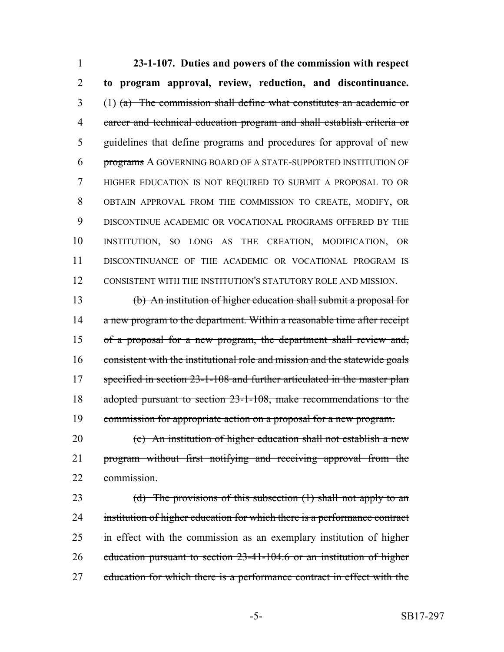**23-1-107. Duties and powers of the commission with respect to program approval, review, reduction, and discontinuance.** (1) (a) The commission shall define what constitutes an academic or career and technical education program and shall establish criteria or guidelines that define programs and procedures for approval of new programs A GOVERNING BOARD OF A STATE-SUPPORTED INSTITUTION OF HIGHER EDUCATION IS NOT REQUIRED TO SUBMIT A PROPOSAL TO OR OBTAIN APPROVAL FROM THE COMMISSION TO CREATE, MODIFY, OR DISCONTINUE ACADEMIC OR VOCATIONAL PROGRAMS OFFERED BY THE INSTITUTION, SO LONG AS THE CREATION, MODIFICATION, OR DISCONTINUANCE OF THE ACADEMIC OR VOCATIONAL PROGRAM IS CONSISTENT WITH THE INSTITUTION'S STATUTORY ROLE AND MISSION.

 (b) An institution of higher education shall submit a proposal for 14 a new program to the department. Within a reasonable time after receipt of a proposal for a new program, the department shall review and, 16 consistent with the institutional role and mission and the statewide goals 17 specified in section 23-1-108 and further articulated in the master plan adopted pursuant to section 23-1-108, make recommendations to the commission for appropriate action on a proposal for a new program.

 (c) An institution of higher education shall not establish a new program without first notifying and receiving approval from the commission.

23 (d) The provisions of this subsection (1) shall not apply to an 24 institution of higher education for which there is a performance contract 25 in effect with the commission as an exemplary institution of higher education pursuant to section 23-41-104.6 or an institution of higher 27 education for which there is a performance contract in effect with the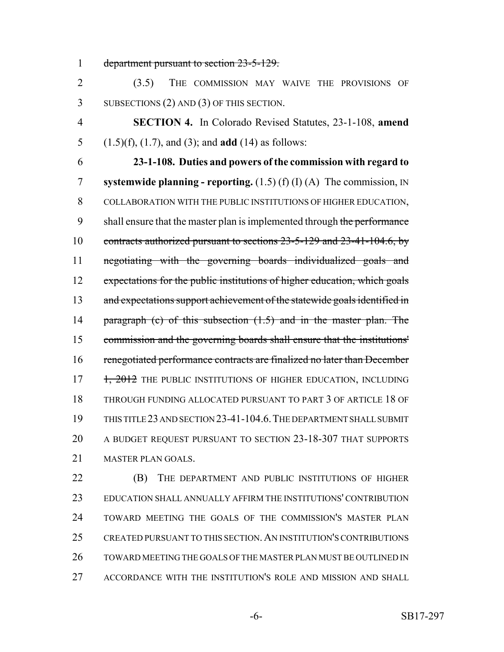department pursuant to section 23-5-129.

 (3.5) THE COMMISSION MAY WAIVE THE PROVISIONS OF SUBSECTIONS (2) AND (3) OF THIS SECTION.

 **SECTION 4.** In Colorado Revised Statutes, 23-1-108, **amend** (1.5)(f), (1.7), and (3); and **add** (14) as follows:

 **23-1-108. Duties and powers of the commission with regard to systemwide planning - reporting.** (1.5) (f) (I) (A) The commission, IN COLLABORATION WITH THE PUBLIC INSTITUTIONS OF HIGHER EDUCATION, 9 shall ensure that the master plan is implemented through the performance contracts authorized pursuant to sections 23-5-129 and 23-41-104.6, by negotiating with the governing boards individualized goals and 12 expectations for the public institutions of higher education, which goals 13 and expectations support achievement of the statewide goals identified in 14 paragraph (c) of this subsection (1.5) and in the master plan. The commission and the governing boards shall ensure that the institutions' renegotiated performance contracts are finalized no later than December 17 1, 2012 THE PUBLIC INSTITUTIONS OF HIGHER EDUCATION, INCLUDING THROUGH FUNDING ALLOCATED PURSUANT TO PART 3 OF ARTICLE 18 OF THIS TITLE 23 AND SECTION 23-41-104.6.THE DEPARTMENT SHALL SUBMIT A BUDGET REQUEST PURSUANT TO SECTION 23-18-307 THAT SUPPORTS MASTER PLAN GOALS.

**(B)** THE DEPARTMENT AND PUBLIC INSTITUTIONS OF HIGHER EDUCATION SHALL ANNUALLY AFFIRM THE INSTITUTIONS' CONTRIBUTION TOWARD MEETING THE GOALS OF THE COMMISSION'S MASTER PLAN CREATED PURSUANT TO THIS SECTION.AN INSTITUTION'S CONTRIBUTIONS TOWARD MEETING THE GOALS OF THE MASTER PLAN MUST BE OUTLINED IN ACCORDANCE WITH THE INSTITUTION'S ROLE AND MISSION AND SHALL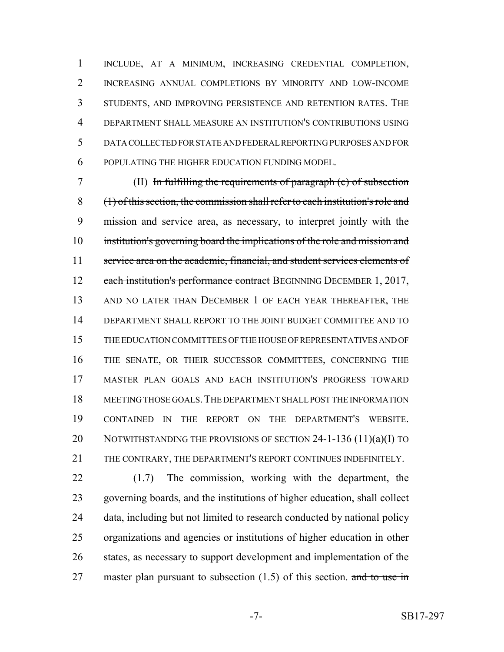INCLUDE, AT A MINIMUM, INCREASING CREDENTIAL COMPLETION, INCREASING ANNUAL COMPLETIONS BY MINORITY AND LOW-INCOME STUDENTS, AND IMPROVING PERSISTENCE AND RETENTION RATES. THE DEPARTMENT SHALL MEASURE AN INSTITUTION'S CONTRIBUTIONS USING DATA COLLECTED FOR STATE AND FEDERAL REPORTING PURPOSES AND FOR POPULATING THE HIGHER EDUCATION FUNDING MODEL.

 (II) In fulfilling the requirements of paragraph (c) of subsection (1) of this section, the commission shall refer to each institution's role and mission and service area, as necessary, to interpret jointly with the institution's governing board the implications of the role and mission and 11 service area on the academic, financial, and student services elements of 12 each institution's performance contract BEGINNING DECEMBER 1, 2017, 13 AND NO LATER THAN DECEMBER 1 OF EACH YEAR THEREAFTER, THE DEPARTMENT SHALL REPORT TO THE JOINT BUDGET COMMITTEE AND TO THE EDUCATION COMMITTEES OF THE HOUSE OF REPRESENTATIVES AND OF THE SENATE, OR THEIR SUCCESSOR COMMITTEES, CONCERNING THE MASTER PLAN GOALS AND EACH INSTITUTION'S PROGRESS TOWARD MEETING THOSE GOALS.THE DEPARTMENT SHALL POST THE INFORMATION CONTAINED IN THE REPORT ON THE DEPARTMENT'S WEBSITE. 20 NOTWITHSTANDING THE PROVISIONS OF SECTION 24-1-136 (11)(a)(I) TO THE CONTRARY, THE DEPARTMENT'S REPORT CONTINUES INDEFINITELY.

 (1.7) The commission, working with the department, the governing boards, and the institutions of higher education, shall collect data, including but not limited to research conducted by national policy organizations and agencies or institutions of higher education in other states, as necessary to support development and implementation of the 27 master plan pursuant to subsection  $(1.5)$  of this section. and to use in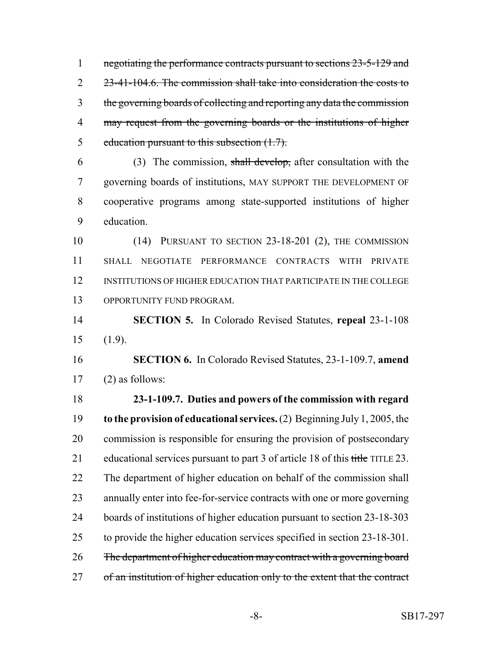1 negotiating the performance contracts pursuant to sections 23-5-129 and 2 23-41-104.6. The commission shall take into consideration the costs to the governing boards of collecting and reporting any data the commission may request from the governing boards or the institutions of higher 5 education pursuant to this subsection  $(1.7)$ .

6 (3) The commission, shall develop, after consultation with the governing boards of institutions, MAY SUPPORT THE DEVELOPMENT OF cooperative programs among state-supported institutions of higher education.

 (14) PURSUANT TO SECTION 23-18-201 (2), THE COMMISSION SHALL NEGOTIATE PERFORMANCE CONTRACTS WITH PRIVATE INSTITUTIONS OF HIGHER EDUCATION THAT PARTICIPATE IN THE COLLEGE OPPORTUNITY FUND PROGRAM.

 **SECTION 5.** In Colorado Revised Statutes, **repeal** 23-1-108 (1.9).

 **SECTION 6.** In Colorado Revised Statutes, 23-1-109.7, **amend** (2) as follows:

 **23-1-109.7. Duties and powers of the commission with regard to the provision of educational services.** (2) Beginning July 1, 2005, the commission is responsible for ensuring the provision of postsecondary 21 educational services pursuant to part 3 of article 18 of this title TITLE 23. The department of higher education on behalf of the commission shall annually enter into fee-for-service contracts with one or more governing boards of institutions of higher education pursuant to section 23-18-303 to provide the higher education services specified in section 23-18-301. The department of higher education may contract with a governing board 27 of an institution of higher education only to the extent that the contract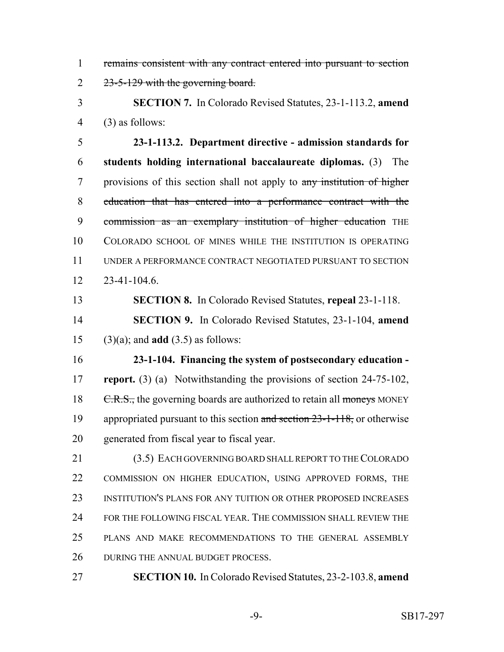remains consistent with any contract entered into pursuant to section 2 23-5-129 with the governing board.

 **SECTION 7.** In Colorado Revised Statutes, 23-1-113.2, **amend** (3) as follows:

 **23-1-113.2. Department directive - admission standards for students holding international baccalaureate diplomas.** (3) The provisions of this section shall not apply to any institution of higher education that has entered into a performance contract with the 9 commission as an exemplary institution of higher education THE COLORADO SCHOOL OF MINES WHILE THE INSTITUTION IS OPERATING UNDER A PERFORMANCE CONTRACT NEGOTIATED PURSUANT TO SECTION 23-41-104.6.

**SECTION 8.** In Colorado Revised Statutes, **repeal** 23-1-118.

 **SECTION 9.** In Colorado Revised Statutes, 23-1-104, **amend** (3)(a); and **add** (3.5) as follows:

 **23-1-104. Financing the system of postsecondary education - report.** (3) (a) Notwithstanding the provisions of section 24-75-102, 18 C.R.S., the governing boards are authorized to retain all moneys MONEY 19 appropriated pursuant to this section and section 23-1-118, or otherwise generated from fiscal year to fiscal year.

 (3.5) EACH GOVERNING BOARD SHALL REPORT TO THE COLORADO COMMISSION ON HIGHER EDUCATION, USING APPROVED FORMS, THE INSTITUTION'S PLANS FOR ANY TUITION OR OTHER PROPOSED INCREASES FOR THE FOLLOWING FISCAL YEAR. THE COMMISSION SHALL REVIEW THE PLANS AND MAKE RECOMMENDATIONS TO THE GENERAL ASSEMBLY 26 DURING THE ANNUAL BUDGET PROCESS.

**SECTION 10.** In Colorado Revised Statutes, 23-2-103.8, **amend**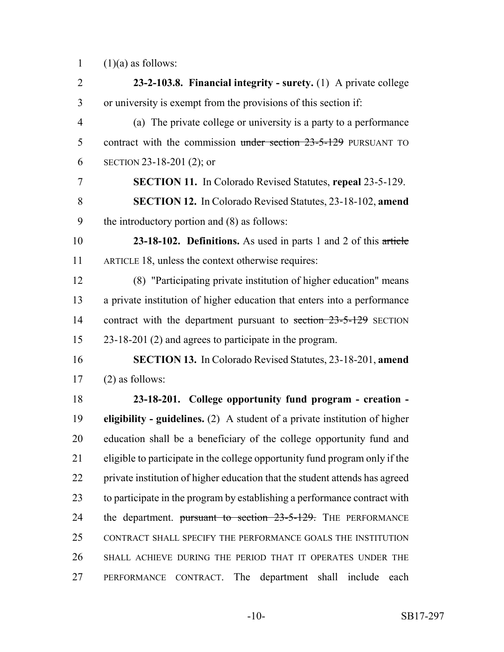1  $(1)(a)$  as follows:

 **23-2-103.8. Financial integrity - surety.** (1) A private college or university is exempt from the provisions of this section if: (a) The private college or university is a party to a performance 5 contract with the commission under section 23-5-129 PURSUANT TO SECTION 23-18-201 (2); or **SECTION 11.** In Colorado Revised Statutes, **repeal** 23-5-129. **SECTION 12.** In Colorado Revised Statutes, 23-18-102, **amend** the introductory portion and (8) as follows: **23-18-102. Definitions.** As used in parts 1 and 2 of this article ARTICLE 18, unless the context otherwise requires: (8) "Participating private institution of higher education" means a private institution of higher education that enters into a performance 14 contract with the department pursuant to section 23-5-129 SECTION 23-18-201 (2) and agrees to participate in the program. **SECTION 13.** In Colorado Revised Statutes, 23-18-201, **amend** (2) as follows: **23-18-201. College opportunity fund program - creation - eligibility - guidelines.** (2) A student of a private institution of higher education shall be a beneficiary of the college opportunity fund and eligible to participate in the college opportunity fund program only if the private institution of higher education that the student attends has agreed to participate in the program by establishing a performance contract with 24 the department. pursuant to section 23-5-129. THE PERFORMANCE CONTRACT SHALL SPECIFY THE PERFORMANCE GOALS THE INSTITUTION SHALL ACHIEVE DURING THE PERIOD THAT IT OPERATES UNDER THE PERFORMANCE CONTRACT. The department shall include each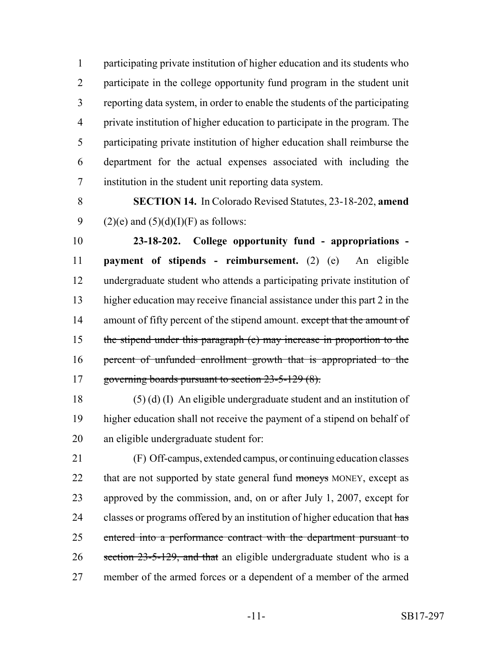participating private institution of higher education and its students who participate in the college opportunity fund program in the student unit reporting data system, in order to enable the students of the participating private institution of higher education to participate in the program. The participating private institution of higher education shall reimburse the department for the actual expenses associated with including the institution in the student unit reporting data system.

 **SECTION 14.** In Colorado Revised Statutes, 23-18-202, **amend** 9 (2)(e) and  $(5)(d)(I)(F)$  as follows:

 **23-18-202. College opportunity fund - appropriations - payment of stipends - reimbursement.** (2) (e) An eligible undergraduate student who attends a participating private institution of higher education may receive financial assistance under this part 2 in the 14 amount of fifty percent of the stipend amount. except that the amount of the stipend under this paragraph (e) may increase in proportion to the percent of unfunded enrollment growth that is appropriated to the 17 governing boards pursuant to section 23-5-129 (8).

 (5) (d) (I) An eligible undergraduate student and an institution of higher education shall not receive the payment of a stipend on behalf of an eligible undergraduate student for:

 (F) Off-campus, extended campus, or continuing education classes 22 that are not supported by state general fund moneys MONEY, except as approved by the commission, and, on or after July 1, 2007, except for 24 classes or programs offered by an institution of higher education that has entered into a performance contract with the department pursuant to 26 section 23-5-129, and that an eligible undergraduate student who is a member of the armed forces or a dependent of a member of the armed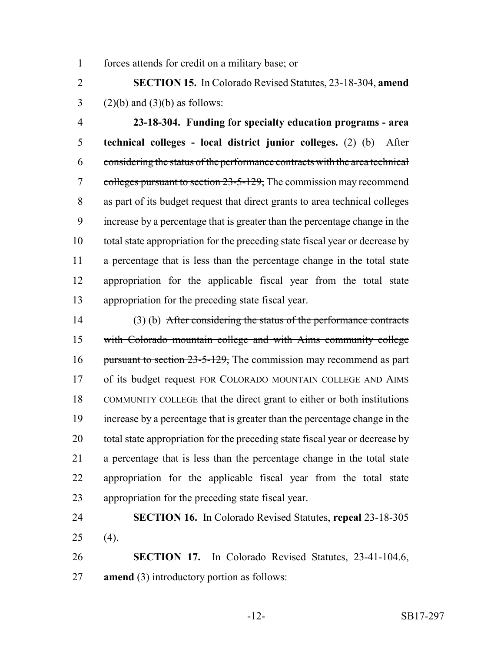forces attends for credit on a military base; or

 **SECTION 15.** In Colorado Revised Statutes, 23-18-304, **amend** 3 (2)(b) and (3)(b) as follows:

 **23-18-304. Funding for specialty education programs - area technical colleges - local district junior colleges.** (2) (b) After considering the status of the performance contracts with the area technical 7 colleges pursuant to section 23-5-129, The commission may recommend as part of its budget request that direct grants to area technical colleges increase by a percentage that is greater than the percentage change in the total state appropriation for the preceding state fiscal year or decrease by a percentage that is less than the percentage change in the total state appropriation for the applicable fiscal year from the total state appropriation for the preceding state fiscal year.

 (3) (b) After considering the status of the performance contracts with Colorado mountain college and with Aims community college 16 pursuant to section 23-5-129, The commission may recommend as part of its budget request FOR COLORADO MOUNTAIN COLLEGE AND AIMS COMMUNITY COLLEGE that the direct grant to either or both institutions increase by a percentage that is greater than the percentage change in the total state appropriation for the preceding state fiscal year or decrease by a percentage that is less than the percentage change in the total state appropriation for the applicable fiscal year from the total state appropriation for the preceding state fiscal year.

 **SECTION 16.** In Colorado Revised Statutes, **repeal** 23-18-305 (4).

 **SECTION 17.** In Colorado Revised Statutes, 23-41-104.6, **amend** (3) introductory portion as follows: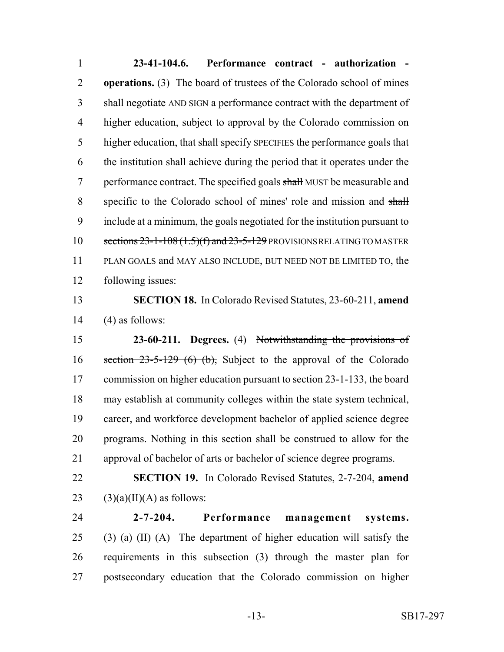**23-41-104.6. Performance contract - authorization - operations.** (3) The board of trustees of the Colorado school of mines shall negotiate AND SIGN a performance contract with the department of higher education, subject to approval by the Colorado commission on 5 higher education, that shall specify SPECIFIES the performance goals that the institution shall achieve during the period that it operates under the 7 performance contract. The specified goals shall MUST be measurable and 8 specific to the Colorado school of mines' role and mission and shall 9 include at a minimum, the goals negotiated for the institution pursuant to 10 sections  $23-1-108(1.5)(f)$  and  $23-5-129$  PROVISIONS RELATING TO MASTER PLAN GOALS and MAY ALSO INCLUDE, BUT NEED NOT BE LIMITED TO, the following issues:

 **SECTION 18.** In Colorado Revised Statutes, 23-60-211, **amend** 14  $(4)$  as follows:

 **23-60-211. Degrees.** (4) Notwithstanding the provisions of 16 section  $23-5-129$  (6) (b), Subject to the approval of the Colorado 17 commission on higher education pursuant to section 23-1-133, the board may establish at community colleges within the state system technical, career, and workforce development bachelor of applied science degree programs. Nothing in this section shall be construed to allow for the approval of bachelor of arts or bachelor of science degree programs.

 **SECTION 19.** In Colorado Revised Statutes, 2-7-204, **amend** 23 (3)(a)(II)(A) as follows:

 **2-7-204. Performance management systems.** (3) (a) (II) (A) The department of higher education will satisfy the requirements in this subsection (3) through the master plan for postsecondary education that the Colorado commission on higher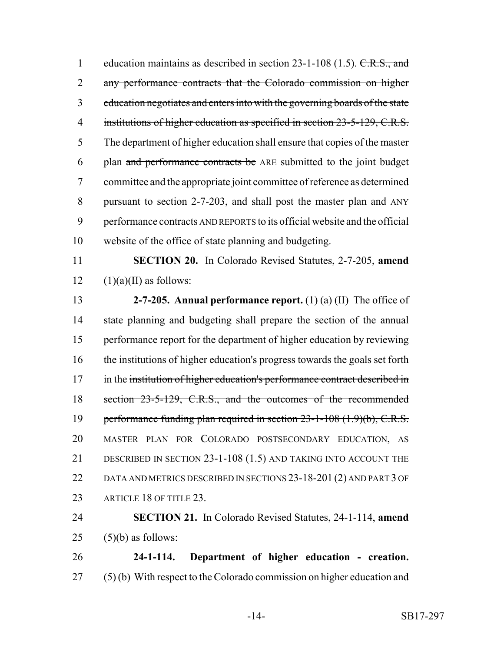1 education maintains as described in section 23-1-108 (1.5). C.R.S., and any performance contracts that the Colorado commission on higher education negotiates and enters into with the governing boards of the state 4 institutions of higher education as specified in section 23-5-129, C.R.S. The department of higher education shall ensure that copies of the master plan and performance contracts be ARE submitted to the joint budget committee and the appropriate joint committee of reference as determined pursuant to section 2-7-203, and shall post the master plan and ANY performance contracts AND REPORTS to its official website and the official website of the office of state planning and budgeting.

 **SECTION 20.** In Colorado Revised Statutes, 2-7-205, **amend** 12  $(1)(a)(II)$  as follows:

 **2-7-205. Annual performance report.** (1) (a) (II) The office of state planning and budgeting shall prepare the section of the annual performance report for the department of higher education by reviewing the institutions of higher education's progress towards the goals set forth 17 in the institution of higher education's performance contract described in section 23-5-129, C.R.S., and the outcomes of the recommended 19 performance funding plan required in section 23-1-108 (1.9)(b), C.R.S. MASTER PLAN FOR COLORADO POSTSECONDARY EDUCATION, AS DESCRIBED IN SECTION 23-1-108 (1.5) AND TAKING INTO ACCOUNT THE DATA AND METRICS DESCRIBED IN SECTIONS 23-18-201 (2) AND PART 3 OF 23 ARTICLE 18 OF TITLE 23.

 **SECTION 21.** In Colorado Revised Statutes, 24-1-114, **amend** (5)(b) as follows:

 **24-1-114. Department of higher education - creation.** (5) (b) With respect to the Colorado commission on higher education and